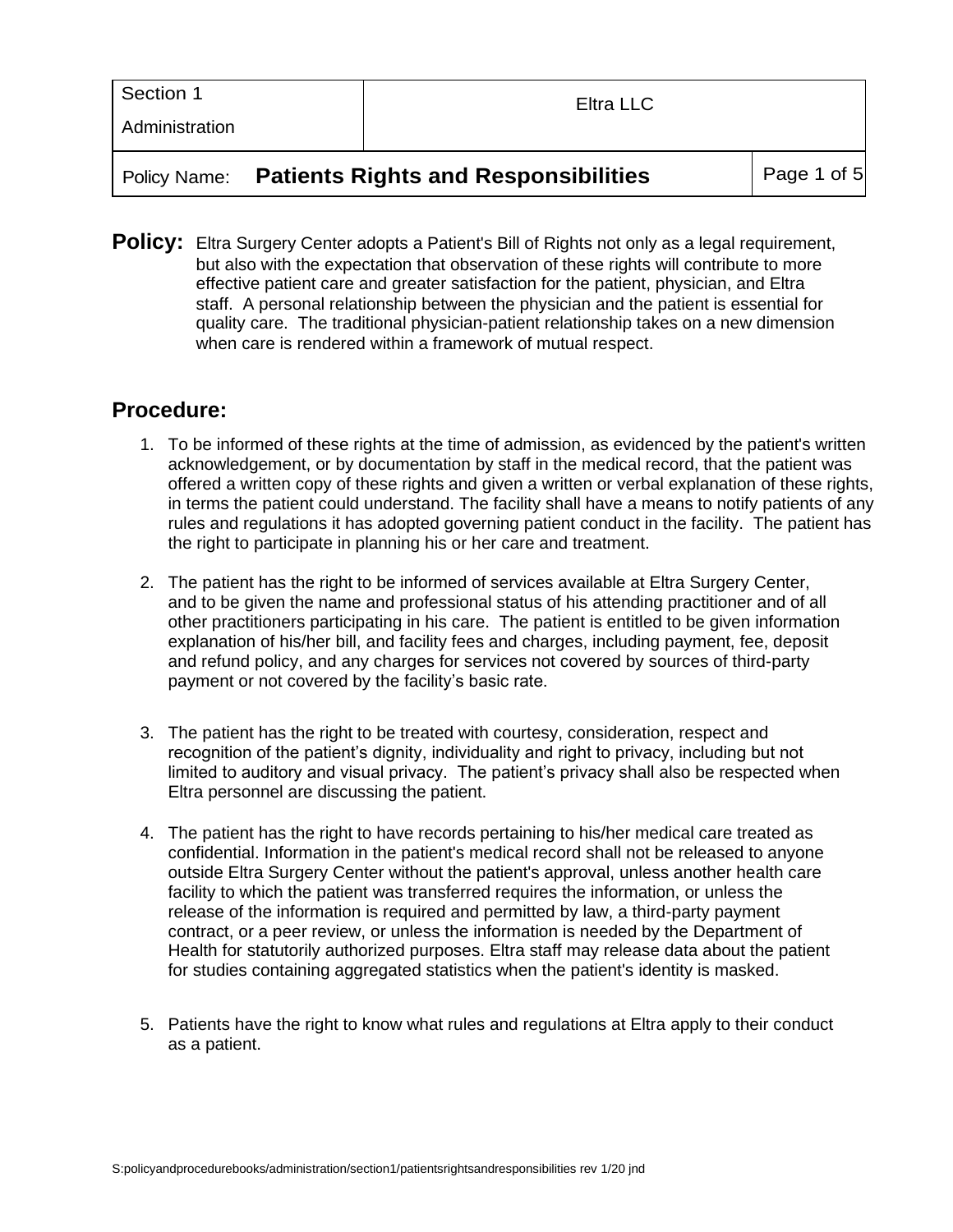| Section 1      | Eltra LLC |  |
|----------------|-----------|--|
| Administration |           |  |
|                |           |  |

### Policy Name: **Patients Rights and Responsibilities** Page 1 of 5

**Policy:** Eltra Surgery Center adopts a Patient's Bill of Rights not only as a legal requirement, but also with the expectation that observation of these rights will contribute to more effective patient care and greater satisfaction for the patient, physician, and Eltra staff. A personal relationship between the physician and the patient is essential for quality care. The traditional physician-patient relationship takes on a new dimension when care is rendered within a framework of mutual respect.

## **Procedure:**

- 1. To be informed of these rights at the time of admission, as evidenced by the patient's written acknowledgement, or by documentation by staff in the medical record, that the patient was offered a written copy of these rights and given a written or verbal explanation of these rights, in terms the patient could understand. The facility shall have a means to notify patients of any rules and regulations it has adopted governing patient conduct in the facility. The patient has the right to participate in planning his or her care and treatment.
- 2. The patient has the right to be informed of services available at Eltra Surgery Center, and to be given the name and professional status of his attending practitioner and of all other practitioners participating in his care. The patient is entitled to be given information explanation of his/her bill, and facility fees and charges, including payment, fee, deposit and refund policy, and any charges for services not covered by sources of third-party payment or not covered by the facility's basic rate.
- 3. The patient has the right to be treated with courtesy, consideration, respect and recognition of the patient's dignity, individuality and right to privacy, including but not limited to auditory and visual privacy. The patient's privacy shall also be respected when Eltra personnel are discussing the patient.
- 4. The patient has the right to have records pertaining to his/her medical care treated as confidential. Information in the patient's medical record shall not be released to anyone outside Eltra Surgery Center without the patient's approval, unless another health care facility to which the patient was transferred requires the information, or unless the release of the information is required and permitted by law, a third-party payment contract, or a peer review, or unless the information is needed by the Department of Health for statutorily authorized purposes. Eltra staff may release data about the patient for studies containing aggregated statistics when the patient's identity is masked.
- 5. Patients have the right to know what rules and regulations at Eltra apply to their conduct as a patient.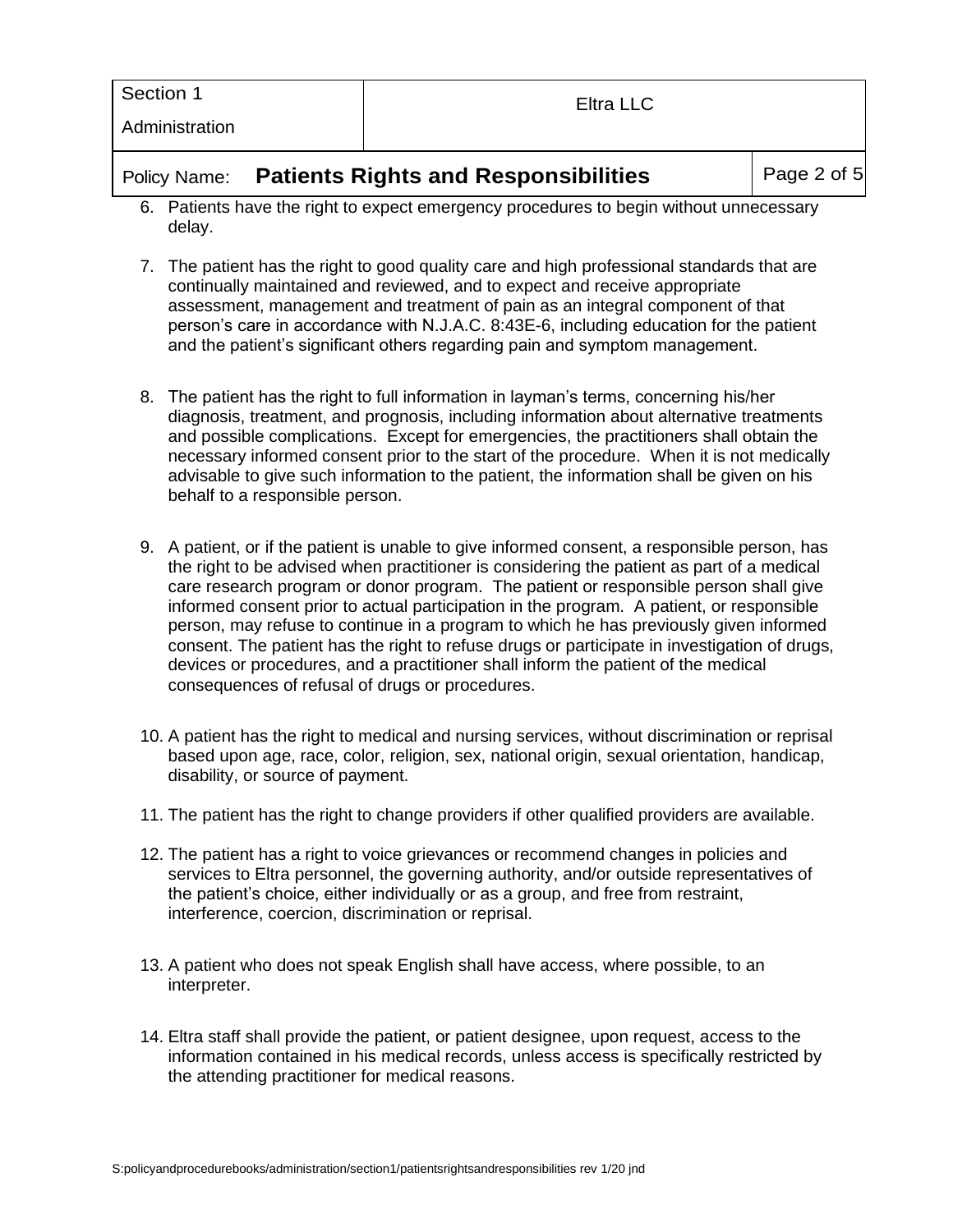| Section 1      | Eltra LLC |
|----------------|-----------|
| Administration |           |
|                |           |

#### Policy Name: **Patients Rights and Responsibilities** Page 2 of

- 6. Patients have the right to expect emergency procedures to begin without unnecessary delay.
- 7. The patient has the right to good quality care and high professional standards that are continually maintained and reviewed, and to expect and receive appropriate assessment, management and treatment of pain as an integral component of that person's care in accordance with N.J.A.C. 8:43E-6, including education for the patient and the patient's significant others regarding pain and symptom management.
- 8. The patient has the right to full information in layman's terms, concerning his/her diagnosis, treatment, and prognosis, including information about alternative treatments and possible complications. Except for emergencies, the practitioners shall obtain the necessary informed consent prior to the start of the procedure. When it is not medically advisable to give such information to the patient, the information shall be given on his behalf to a responsible person.
- 9. A patient, or if the patient is unable to give informed consent, a responsible person, has the right to be advised when practitioner is considering the patient as part of a medical care research program or donor program. The patient or responsible person shall give informed consent prior to actual participation in the program. A patient, or responsible person, may refuse to continue in a program to which he has previously given informed consent. The patient has the right to refuse drugs or participate in investigation of drugs, devices or procedures, and a practitioner shall inform the patient of the medical consequences of refusal of drugs or procedures.
- 10. A patient has the right to medical and nursing services, without discrimination or reprisal based upon age, race, color, religion, sex, national origin, sexual orientation, handicap, disability, or source of payment.
- 11. The patient has the right to change providers if other qualified providers are available.
- 12. The patient has a right to voice grievances or recommend changes in policies and services to Eltra personnel, the governing authority, and/or outside representatives of the patient's choice, either individually or as a group, and free from restraint, interference, coercion, discrimination or reprisal.
- 13. A patient who does not speak English shall have access, where possible, to an interpreter.
- 14. Eltra staff shall provide the patient, or patient designee, upon request, access to the information contained in his medical records, unless access is specifically restricted by the attending practitioner for medical reasons.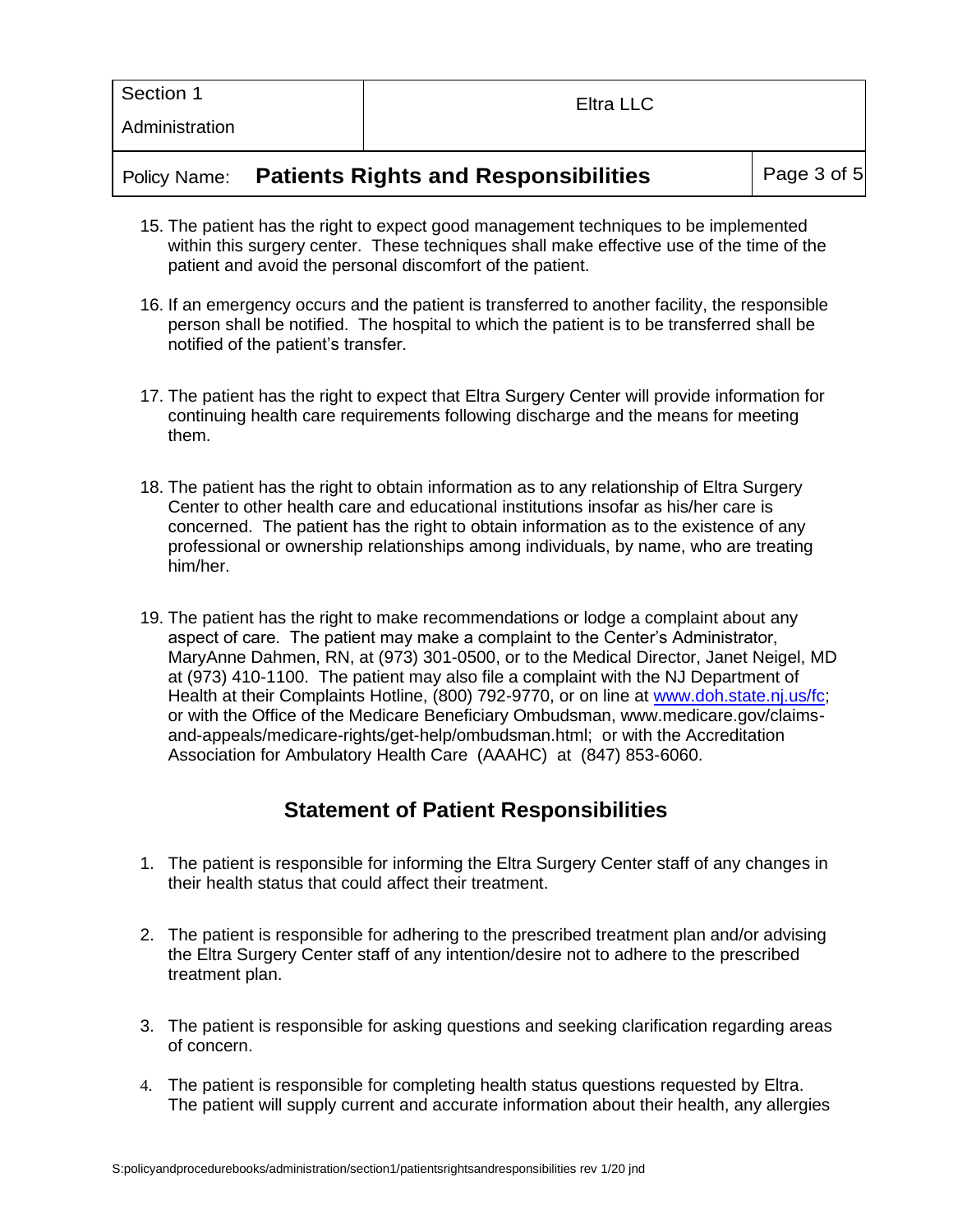| Section 1      | Eltra LLC |
|----------------|-----------|
| Administration |           |

## Policy Name: **Patients Rights and Responsibilities** | Page 3 of 5

- 15. The patient has the right to expect good management techniques to be implemented within this surgery center. These techniques shall make effective use of the time of the patient and avoid the personal discomfort of the patient.
- 16. If an emergency occurs and the patient is transferred to another facility, the responsible person shall be notified. The hospital to which the patient is to be transferred shall be notified of the patient's transfer.
- 17. The patient has the right to expect that Eltra Surgery Center will provide information for continuing health care requirements following discharge and the means for meeting them.
- 18. The patient has the right to obtain information as to any relationship of Eltra Surgery Center to other health care and educational institutions insofar as his/her care is concerned. The patient has the right to obtain information as to the existence of any professional or ownership relationships among individuals, by name, who are treating him/her.
- 19. The patient has the right to make recommendations or lodge a complaint about any aspect of care. The patient may make a complaint to the Center's Administrator, MaryAnne Dahmen, RN, at (973) 301-0500, or to the Medical Director, Janet Neigel, MD at (973) 410-1100. The patient may also file a complaint with the NJ Department of Health at their Complaints Hotline, (800) 792-9770, or on line at [www.doh.state.nj.us/fc;](http://www.doh.state.nj.us/fc) or with the Office of the Medicare Beneficiary Ombudsman, www.medicare.gov/claimsand-appeals/medicare-rights/get-help/ombudsman.html; or with the Accreditation Association for Ambulatory Health Care (AAAHC) at (847) 853-6060.

# **Statement of Patient Responsibilities**

- 1. The patient is responsible for informing the Eltra Surgery Center staff of any changes in their health status that could affect their treatment.
- 2. The patient is responsible for adhering to the prescribed treatment plan and/or advising the Eltra Surgery Center staff of any intention/desire not to adhere to the prescribed treatment plan.
- 3. The patient is responsible for asking questions and seeking clarification regarding areas of concern.
- 4. The patient is responsible for completing health status questions requested by Eltra. The patient will supply current and accurate information about their health, any allergies